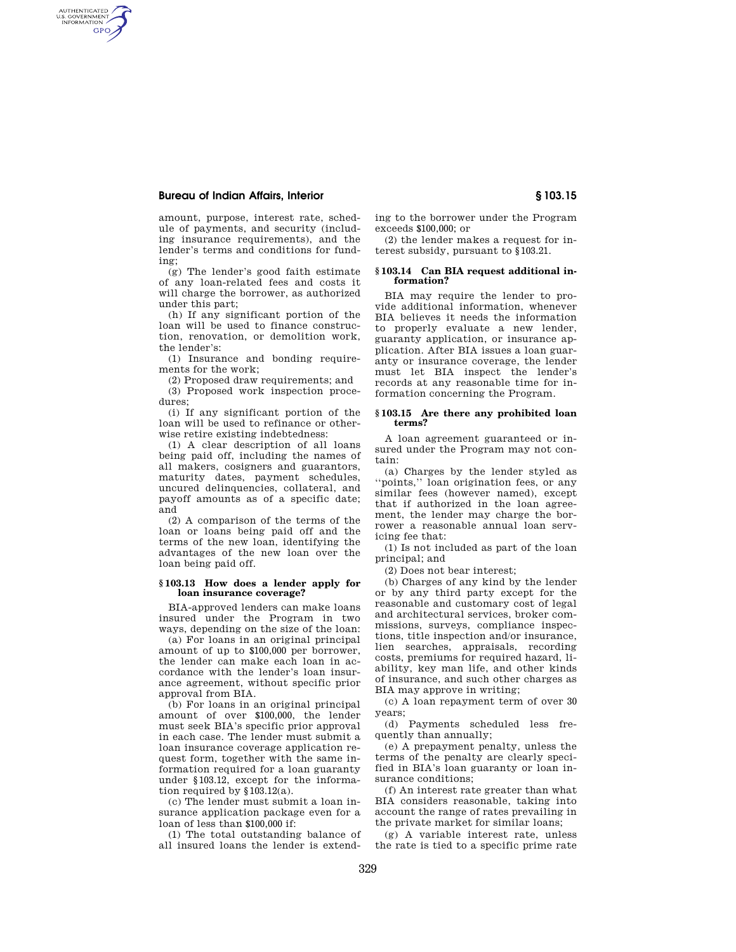# **Bureau of Indian Affairs, Interior § 103.15**

AUTHENTICATED<br>U.S. GOVERNMENT<br>INFORMATION **GPO** 

> amount, purpose, interest rate, schedule of payments, and security (including insurance requirements), and the lender's terms and conditions for funding;

> (g) The lender's good faith estimate of any loan-related fees and costs it will charge the borrower, as authorized under this part;

> (h) If any significant portion of the loan will be used to finance construction, renovation, or demolition work, the lender's:

> (1) Insurance and bonding requirements for the work;

(2) Proposed draw requirements; and

(3) Proposed work inspection procedures;

(i) If any significant portion of the loan will be used to refinance or otherwise retire existing indebtedness:

(1) A clear description of all loans being paid off, including the names of all makers, cosigners and guarantors, maturity dates, payment schedules, uncured delinquencies, collateral, and payoff amounts as of a specific date; and

(2) A comparison of the terms of the loan or loans being paid off and the terms of the new loan, identifying the advantages of the new loan over the loan being paid off.

## **§ 103.13 How does a lender apply for loan insurance coverage?**

BIA-approved lenders can make loans insured under the Program in two ways, depending on the size of the loan:

(a) For loans in an original principal amount of up to \$100,000 per borrower, the lender can make each loan in accordance with the lender's loan insurance agreement, without specific prior approval from BIA.

(b) For loans in an original principal amount of over \$100,000, the lender must seek BIA's specific prior approval in each case. The lender must submit a loan insurance coverage application request form, together with the same information required for a loan guaranty under §103.12, except for the information required by §103.12(a).

(c) The lender must submit a loan insurance application package even for a loan of less than \$100,000 if:

(1) The total outstanding balance of all insured loans the lender is extend-

329

ing to the borrower under the Program exceeds \$100,000; or

(2) the lender makes a request for interest subsidy, pursuant to §103.21.

#### **§ 103.14 Can BIA request additional information?**

BIA may require the lender to provide additional information, whenever BIA believes it needs the information to properly evaluate a new lender, guaranty application, or insurance application. After BIA issues a loan guaranty or insurance coverage, the lender must let BIA inspect the lender's records at any reasonable time for information concerning the Program.

# **§ 103.15 Are there any prohibited loan terms?**

A loan agreement guaranteed or insured under the Program may not contain:

(a) Charges by the lender styled as 'points,'' loan origination fees, or any similar fees (however named), except that if authorized in the loan agreement, the lender may charge the borrower a reasonable annual loan servicing fee that:

(1) Is not included as part of the loan principal; and

(2) Does not bear interest;

(b) Charges of any kind by the lender or by any third party except for the reasonable and customary cost of legal and architectural services, broker commissions, surveys, compliance inspections, title inspection and/or insurance, lien searches, appraisals, recording costs, premiums for required hazard, liability, key man life, and other kinds of insurance, and such other charges as BIA may approve in writing;

(c) A loan repayment term of over 30 years;

(d) Payments scheduled less frequently than annually;

(e) A prepayment penalty, unless the terms of the penalty are clearly specified in BIA's loan guaranty or loan insurance conditions;

(f) An interest rate greater than what BIA considers reasonable, taking into account the range of rates prevailing in the private market for similar loans;

(g) A variable interest rate, unless the rate is tied to a specific prime rate